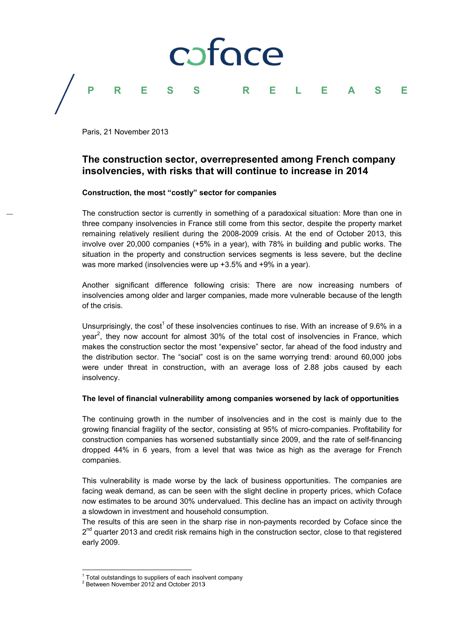

Paris, 21 November 2013

# The construction sector, overrepresented among French company insolvencies, with risks that will continue to increase in 2014

### Construction, the most "costly" sector for companies

The construction sector is currently in something of a paradoxical situation: More than one in three company insolvencies in France still come from this sector, despite the property market remaining relatively resilient during the 2008-2009 crisis. At the end of October 2013, this involve over 20,000 companies (+5% in a year), with 78% in building and public works. The situation in the property and construction services segments is less severe, but the decline was more marked (insolvencies were up +3.5% and +9% in a vear).

Another significant difference following crisis: There are now increasing numbers of insolvencies among older and larger companies, made more vulnerable because of the length of the crisis.

Unsurprisingly, the cost<sup>1</sup> of these insolvencies continues to rise. With an increase of 9.6% in a year<sup>2</sup>, they now account for almost 30% of the total cost of insolvencies in France, which makes the construction sector the most "expensive" sector, far ahead of the food industry and the distribution sector. The "social" cost is on the same worrying trend: around 60,000 jobs were under threat in construction, with an average loss of 2.88 jobs caused by each insolvency.

## The level of financial vulnerability among companies worsened by lack of opportunities

The continuing growth in the number of insolvencies and in the cost is mainly due to the growing financial fragility of the sector, consisting at 95% of micro-companies. Profitability for construction companies has worsened substantially since 2009, and the rate of self-financing dropped 44% in 6 years, from a level that was twice as high as the average for French companies.

This vulnerability is made worse by the lack of business opportunities. The companies are facing weak demand, as can be seen with the slight decline in property prices, which Coface now estimates to be around 30% undervalued. This decline has an impact on activity through a slowdown in investment and household consumption.

The results of this are seen in the sharp rise in non-payments recorded by Coface since the  $2<sup>nd</sup>$  quarter 2013 and credit risk remains high in the construction sector, close to that registered early 2009.

<sup>&</sup>lt;sup>1</sup> Total outstandings to suppliers of each insolvent company

<sup>&</sup>lt;sup>2</sup> Between November 2012 and October 2013